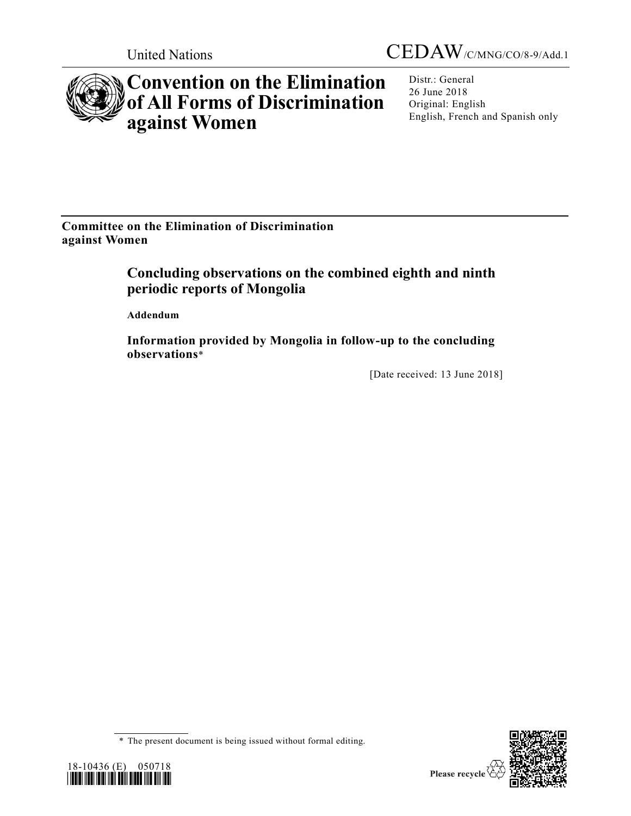United Nations CEDAW/C/MNG/CO/8-9/Add.1



## **Convention on the Elimination of All Forms of Discrimination against Women**

Distr.: General 26 June 2018 Original: English English, French and Spanish only

**Committee on the Elimination of Discrimination against Women**

## **Concluding observations on the combined eighth and ninth periodic reports of Mongolia**

**Addendum**

**Information provided by Mongolia in follow-up to the concluding observations**\*

[Date received: 13 June 2018]





<sup>\*</sup> The present document is being issued without formal editing.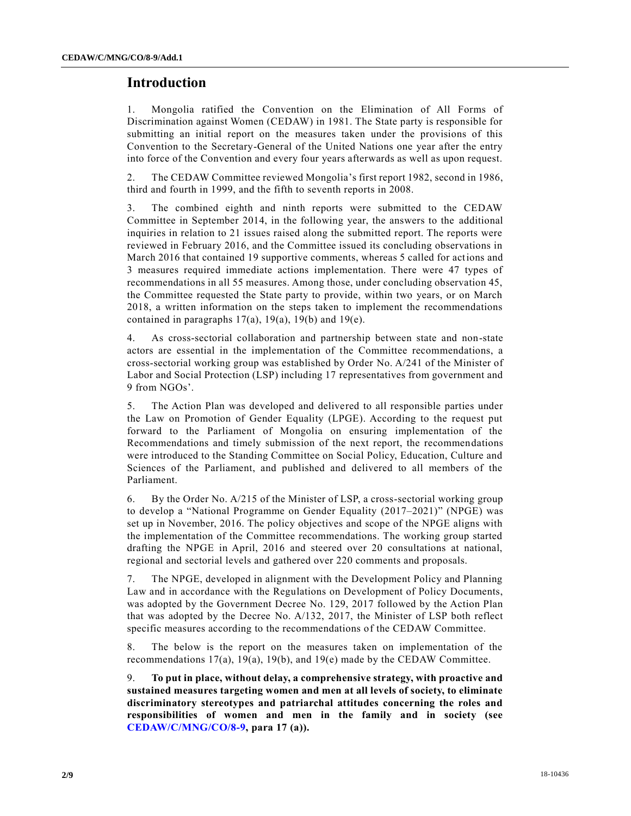## **Introduction**

1. Mongolia ratified the Convention on the Elimination of All Forms of Discrimination against Women (CEDAW) in 1981. The State party is responsible for submitting an initial report on the measures taken under the provisions of this Convention to the Secretary-General of the United Nations one year after the entry into force of the Convention and every four years afterwards as well as upon request.

2. The CEDAW Committee reviewed Mongolia's first report 1982, second in 1986, third and fourth in 1999, and the fifth to seventh reports in 2008.

3. The combined eighth and ninth reports were submitted to the CEDAW Committee in September 2014, in the following year, the answers to the additional inquiries in relation to 21 issues raised along the submitted report. The reports were reviewed in February 2016, and the Committee issued its concluding observations in March 2016 that contained 19 supportive comments, whereas 5 called for actions and 3 measures required immediate actions implementation. There were 47 types of recommendations in all 55 measures. Among those, under concluding observation 45, the Committee requested the State party to provide, within two years, or on March 2018, a written information on the steps taken to implement the recommendations contained in paragraphs  $17(a)$ ,  $19(a)$ ,  $19(b)$  and  $19(e)$ .

4. As cross-sectorial collaboration and partnership between state and non-state actors are essential in the implementation of the Committee recommendations, a cross-sectorial working group was established by Order No. A/241 of the Minister of Labor and Social Protection (LSP) including 17 representatives from government and 9 from NGOs'.

5. The Action Plan was developed and delivered to all responsible parties under the Law on Promotion of Gender Equality (LPGE). According to the request put forward to the Parliament of Mongolia on ensuring implementation of the Recommendations and timely submission of the next report, the recommendations were introduced to the Standing Committee on Social Policy, Education, Culture and Sciences of the Parliament, and published and delivered to all members of the Parliament.

6. By the Order No. A/215 of the Minister of LSP, a cross-sectorial working group to develop a "National Programme on Gender Equality (2017–2021)" (NPGE) was set up in November, 2016. The policy objectives and scope of the NPGE aligns with the implementation of the Committee recommendations. The working group started drafting the NPGE in April, 2016 and steered over 20 consultations at national, regional and sectorial levels and gathered over 220 comments and proposals.

7. The NPGE, developed in alignment with the Development Policy and Planning Law and in accordance with the Regulations on Development of Policy Documents, was adopted by the Government Decree No. 129, 2017 followed by the Action Plan that was adopted by the Decree No. A/132, 2017, the Minister of LSP both reflect specific measures according to the recommendations of the CEDAW Committee.

8. The below is the report on the measures taken on implementation of the recommendations 17(a), 19(a), 19(b), and 19(e) made by the CEDAW Committee.

9. **To put in place, without delay, a comprehensive strategy, with proactive and sustained measures targeting women and men at all levels of society, to eliminate discriminatory stereotypes and patriarchal attitudes concerning the roles and responsibilities of women and men in the family and in society (see [CEDAW/C/MNG/CO/8-9,](https://undocs.org/CEDAW/C/MNG/CO/8) para 17 (a)).**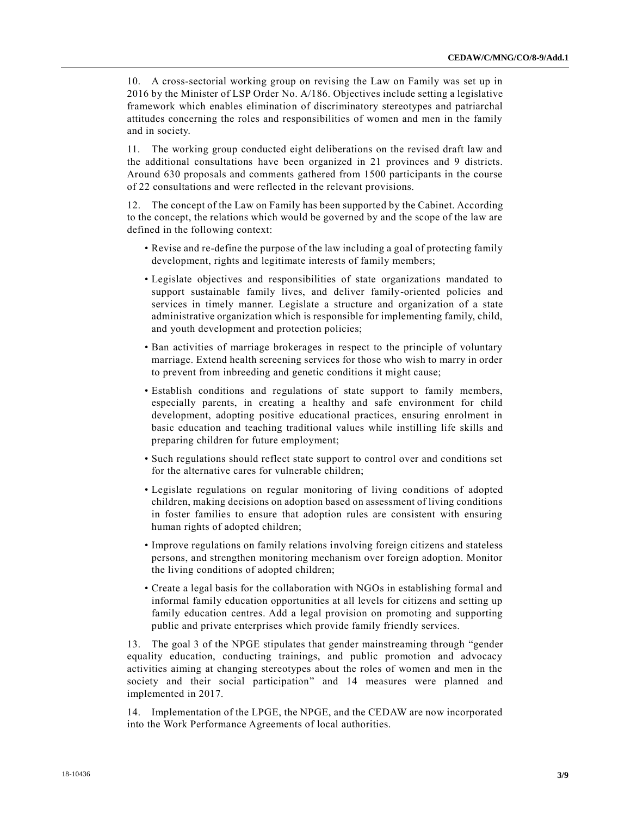10. A cross-sectorial working group on revising the Law on Family was set up in 2016 by the Minister of LSP Order No. А/186. Objectives include setting a legislative framework which enables elimination of discriminatory stereotypes and patriarchal attitudes concerning the roles and responsibilities of women and men in the family and in society.

11. The working group conducted eight deliberations on the revised draft law and the additional consultations have been organized in 21 provinces and 9 districts. Around 630 proposals and comments gathered from 1500 participants in the course of 22 consultations and were reflected in the relevant provisions.

12. The concept of the Law on Family has been supported by the Cabinet. According to the concept, the relations which would be governed by and the scope of the law are defined in the following context:

- Revise and re-define the purpose of the law including a goal of protecting family development, rights and legitimate interests of family members;
- Legislate objectives and responsibilities of state organizations mandated to support sustainable family lives, and deliver family-oriented policies and services in timely manner. Legislate a structure and organization of a state administrative organization which is responsible for implementing family, child, and youth development and protection policies;
- Ban activities of marriage brokerages in respect to the principle of voluntary marriage. Extend health screening services for those who wish to marry in order to prevent from inbreeding and genetic conditions it might cause;
- Establish conditions and regulations of state support to family members, especially parents, in creating a healthy and safe environment for child development, adopting positive educational practices, ensuring enrolment in basic education and teaching traditional values while instilling life skills and preparing children for future employment;
- Such regulations should reflect state support to control over and conditions set for the alternative cares for vulnerable children;
- Legislate regulations on regular monitoring of living conditions of adopted children, making decisions on adoption based on assessment of living conditions in foster families to ensure that adoption rules are consistent with ensuring human rights of adopted children;
- Improve regulations on family relations involving foreign citizens and stateless persons, and strengthen monitoring mechanism over foreign adoption. Monitor the living conditions of adopted children;
- Create a legal basis for the collaboration with NGOs in establishing formal and informal family education opportunities at all levels for citizens and setting up family education centres. Add a legal provision on promoting and supporting public and private enterprises which provide family friendly services.

13. The goal 3 of the NPGE stipulates that gender mainstreaming through "gender equality education, conducting trainings, and public promotion and advocacy activities aiming at changing stereotypes about the roles of women and men in the society and their social participation" and 14 measures were planned and implemented in 2017.

14. Implementation of the LPGE, the NPGE, and the CEDAW are now incorporated into the Work Performance Agreements of local authorities.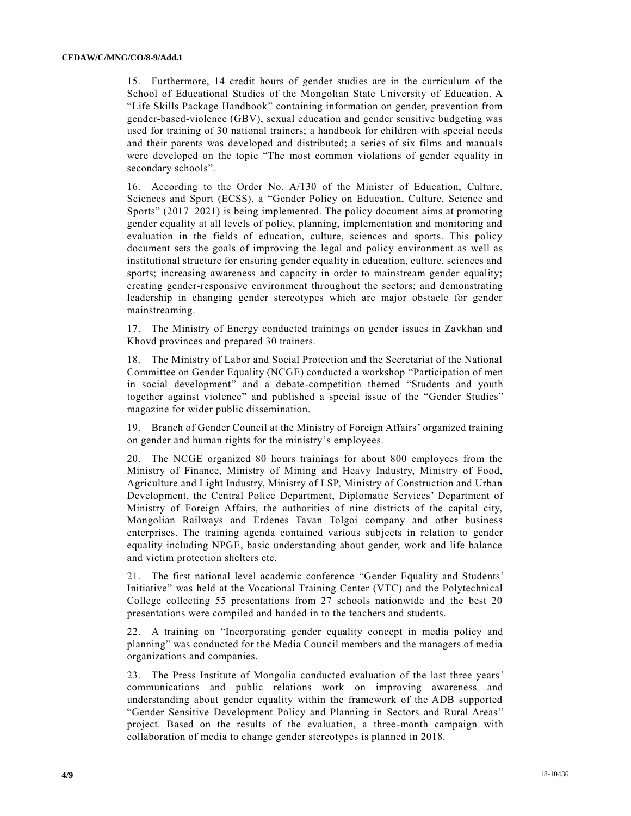15. Furthermore, 14 credit hours of gender studies are in the curriculum of the School of Educational Studies of the Mongolian State University of Education. A "Life Skills Package Handbook" containing information on gender, prevention from gender-based-violence (GBV), sexual education and gender sensitive budgeting was used for training of 30 national trainers; a handbook for children with special needs and their parents was developed and distributed; a series of six films and manuals were developed on the topic "The most common violations of gender equality in secondary schools".

16. According to the Order No. A/130 of the Minister of Education, Culture, Sciences and Sport (ECSS), a "Gender Policy on Education, Culture, Science and Sports" (2017–2021) is being implemented. The policy document aims at promoting gender equality at all levels of policy, planning, implementation and monitoring and evaluation in the fields of education, culture, sciences and sports. This policy document sets the goals of improving the legal and policy environment as well as institutional structure for ensuring gender equality in education, culture, sciences and sports; increasing awareness and capacity in order to mainstream gender equality; creating gender-responsive environment throughout the sectors; and demonstrating leadership in changing gender stereotypes which are major obstacle for gender mainstreaming.

17. The Ministry of Energy conducted trainings on gender issues in Zavkhan and Khovd provinces and prepared 30 trainers.

18. The Ministry of Labor and Social Protection and the Secretariat of the National Committee on Gender Equality (NCGE) conducted a workshop "Participation of men in social development" and a debate-competition themed "Students and youth together against violence" and published a special issue of the "Gender Studies" magazine for wider public dissemination.

19. Branch of Gender Council at the Ministry of Foreign Affairs' organized training on gender and human rights for the ministry's employees.

20. The NCGE organized 80 hours trainings for about 800 employees from the Ministry of Finance, Ministry of Mining and Heavy Industry, Ministry of Food, Agriculture and Light Industry, Ministry of LSP, Ministry of Construction and Urban Development, the Central Police Department, Diplomatic Services' Department of Ministry of Foreign Affairs, the authorities of nine districts of the capital city, Mongolian Railways and Erdenes Tavan Tolgoi company and other business enterprises. The training agenda contained various subjects in relation to gender equality including NPGE, basic understanding about gender, work and life balance and victim protection shelters etc.

21. The first national level academic conference "Gender Equality and Students' Initiative" was held at the Vocational Training Center (VTC) and the Polytechnical College collecting 55 presentations from 27 schools nationwide and the best 20 presentations were compiled and handed in to the teachers and students.

22. A training on "Incorporating gender equality concept in media policy and planning" was conducted for the Media Council members and the managers of media organizations and companies.

23. The Press Institute of Mongolia conducted evaluation of the last three years' communications and public relations work on improving awareness and understanding about gender equality within the framework of the ADB supported "Gender Sensitive Development Policy and Planning in Sectors and Rural Areas " project. Based on the results of the evaluation, a three-month campaign with collaboration of media to change gender stereotypes is planned in 2018.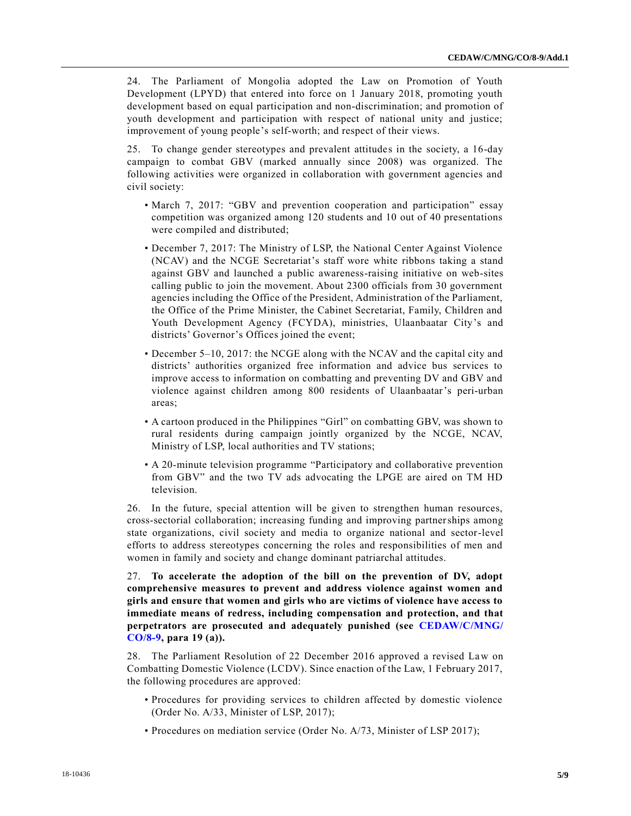24. The Parliament of Mongolia adopted the Law on Promotion of Youth Development (LPYD) that entered into force on 1 January 2018, promoting youth development based on equal participation and non-discrimination; and promotion of youth development and participation with respect of national unity and justice; improvement of young people's self-worth; and respect of their views.

25. To change gender stereotypes and prevalent attitudes in the society, a 16-day campaign to combat GBV (marked annually since 2008) was organized. The following activities were organized in collaboration with government agencies and civil society:

- March 7, 2017: "GBV and prevention cooperation and participation" essay competition was organized among 120 students and 10 out of 40 presentations were compiled and distributed;
- December 7, 2017: The Ministry of LSP, the National Center Against Violence (NCAV) and the NCGE Secretariat's staff wore white ribbons taking a stand against GBV and launched a public awareness-raising initiative on web-sites calling public to join the movement. About 2300 officials from 30 government agencies including the Office of the President, Administration of the Parliament, the Office of the Prime Minister, the Cabinet Secretariat, Family, Children and Youth Development Agency (FCYDA), ministries, Ulaanbaatar City's and districts' Governor's Offices joined the event;
- December 5–10, 2017: the NCGE along with the NCAV and the capital city and districts' authorities organized free information and advice bus services to improve access to information on combatting and preventing DV and GBV and violence against children among 800 residents of Ulaanbaatar's peri-urban areas;
- A cartoon produced in the Philippines "Girl" on combatting GBV, was shown to rural residents during campaign jointly organized by the NCGE, NCAV, Ministry of LSP, local authorities and TV stations;
- A 20-minute television programme "Participatory and collaborative prevention from GBV" and the two TV ads advocating the LPGE are aired on TM HD television.

26. In the future, special attention will be given to strengthen human resources, cross-sectorial collaboration; increasing funding and improving partnerships among state organizations, civil society and media to organize national and sector-level efforts to address stereotypes concerning the roles and responsibilities of men and women in family and society and change dominant patriarchal attitudes.

27. **To accelerate the adoption of the bill on the prevention of DV, adopt comprehensive measures to prevent and address violence against women and girls and ensure that women and girls who are victims of violence have access to immediate means of redress, including compensation and protection, and that perpetrators are prosecuted and adequately punished (see [CEDAW/C/MNG/](https://undocs.org/CEDAW/C/MNG/CO/8) [CO/8-9,](https://undocs.org/CEDAW/C/MNG/CO/8) para 19 (a)).**

28. The Parliament Resolution of 22 December 2016 approved a revised Law on Combatting Domestic Violence (LCDV). Since enaction of the Law, 1 February 2017, the following procedures are approved:

- Procedures for providing services to children affected by domestic violence (Order No. A/33, Minister of LSP, 2017);
- Procedures on mediation service (Order No. A/73, Minister of LSP 2017);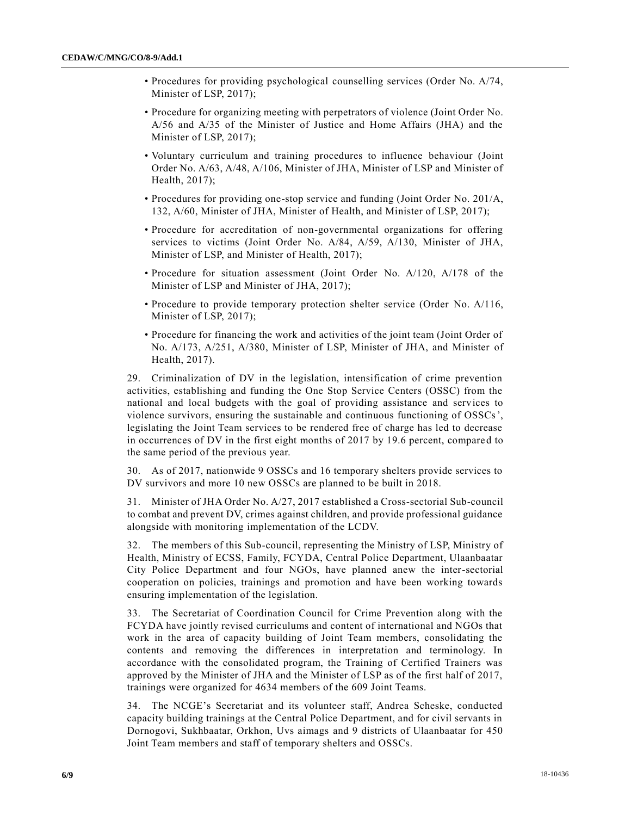- Procedures for providing psychological counselling services (Order No. A/74, Minister of LSP, 2017);
- Procedure for organizing meeting with perpetrators of violence (Joint Order No. A/56 and A/35 of the Minister of Justice and Home Affairs (JHA) and the Minister of LSP, 2017);
- Voluntary curriculum and training procedures to influence behaviour (Joint Order No. A/63, A/48, A/106, Minister of JHA, Minister of LSP and Minister of Health, 2017);
- Procedures for providing one-stop service and funding (Joint Order No. 201/A, 132, A/60, Minister of JHA, Minister of Health, and Minister of LSP, 2017);
- Procedure for accreditation of non-governmental organizations for offering services to victims (Joint Order No. A/84, A/59, A/130, Minister of JHA, Minister of LSP, and Minister of Health, 2017);
- Procedure for situation assessment (Joint Order No. A/120, A/178 of the Minister of LSP and Minister of JHA, 2017);
- Procedure to provide temporary protection shelter service (Order No. A/116, Minister of LSP, 2017);
- Procedure for financing the work and activities of the joint team (Joint Order of No. A/173, A/251, A/380, Minister of LSP, Minister of JHA, and Minister of Health, 2017).

29. Criminalization of DV in the legislation, intensification of crime prevention activities, establishing and funding the One Stop Service Centers (OSSC) from the national and local budgets with the goal of providing assistance and services to violence survivors, ensuring the sustainable and continuous functioning of OSSCs', legislating the Joint Team services to be rendered free of charge has led to decrease in occurrences of DV in the first eight months of 2017 by 19.6 percent, compared to the same period of the previous year.

30. As of 2017, nationwide 9 OSSCs and 16 temporary shelters provide services to DV survivors and more 10 new OSSCs are planned to be built in 2018.

31. Minister of JHA Order No. A/27, 2017 established a Cross-sectorial Sub-council to combat and prevent DV, crimes against children, and provide professional guidance alongside with monitoring implementation of the LCDV.

32. The members of this Sub-council, representing the Ministry of LSP, Ministry of Health, Ministry of ECSS, Family, FCYDA, Central Police Department, Ulaanbaatar City Police Department and four NGOs, have planned anew the inter-sectorial cooperation on policies, trainings and promotion and have been working towards ensuring implementation of the legislation.

33. The Secretariat of Coordination Council for Crime Prevention along with the FCYDA have jointly revised curriculums and content of international and NGOs that work in the area of capacity building of Joint Team members, consolidating the contents and removing the differences in interpretation and terminology. In accordance with the consolidated program, the Training of Certified Trainers was approved by the Minister of JHA and the Minister of LSP as of the first half of 2017, trainings were organized for 4634 members of the 609 Joint Teams.

34. The NCGE's Secretariat and its volunteer staff, Andrea Scheske, conducted capacity building trainings at the Central Police Department, and for civil servants in Dornogovi, Sukhbaatar, Orkhon, Uvs aimags and 9 districts of Ulaanbaatar for 450 Joint Team members and staff of temporary shelters and OSSCs.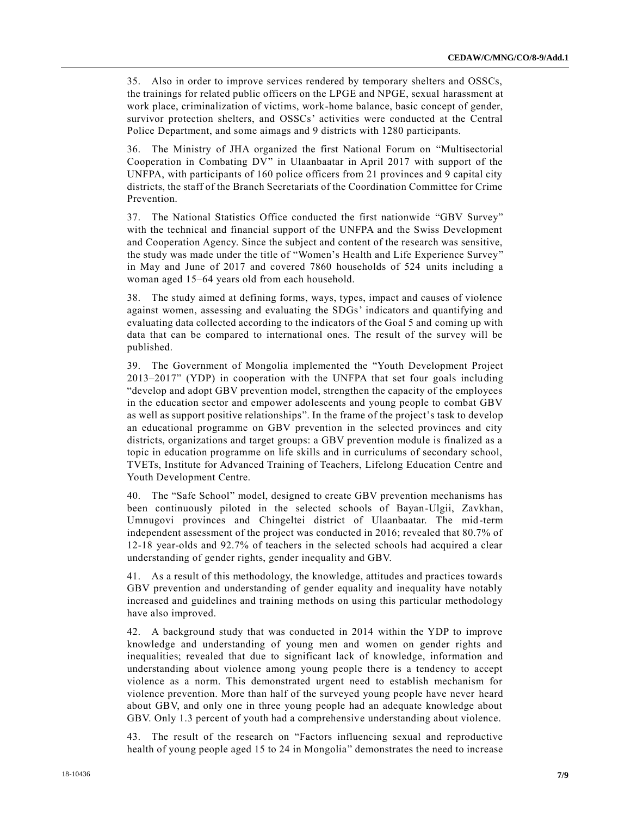35. Also in order to improve services rendered by temporary shelters and OSSCs, the trainings for related public officers on the LPGE and NPGE, sexual harassment at work place, criminalization of victims, work-home balance, basic concept of gender, survivor protection shelters, and OSSCs' activities were conducted at the Central Police Department, and some aimags and 9 districts with 1280 participants.

36. The Ministry of JHA organized the first National Forum on "Multisectorial Cooperation in Combating DV" in Ulaanbaatar in April 2017 with support of the UNFPA, with participants of 160 police officers from 21 provinces and 9 capital city districts, the staff of the Branch Secretariats of the Coordination Committee for Crime Prevention.

37. The National Statistics Office conducted the first nationwide "GBV Survey" with the technical and financial support of the UNFPA and the Swiss Development and Cooperation Agency. Since the subject and content of the research was sensitive, the study was made under the title of "Women's Health and Life Experience Survey" in May and June of 2017 and covered 7860 households of 524 units including a woman aged 15–64 years old from each household.

38. The study aimed at defining forms, ways, types, impact and causes of violence against women, assessing and evaluating the SDGs' indicators and quantifying and evaluating data collected according to the indicators of the Goal 5 and coming up with data that can be compared to international ones. The result of the survey will be published.

39. The Government of Mongolia implemented the "Youth Development Project 2013–2017" (YDP) in cooperation with the UNFPA that set four goals including "develop and adopt GBV prevention model, strengthen the capacity of the employees in the education sector and empower adolescents and young people to combat GBV as well as support positive relationships". In the frame of the project's task to develop an educational programme on GBV prevention in the selected provinces and city districts, organizations and target groups: a GBV prevention module is finalized as a topic in education programme on life skills and in curriculums of secondary school, TVETs, Institute for Advanced Training of Teachers, Lifelong Education Centre and Youth Development Centre.

40. The "Safe School" model, designed to create GBV prevention mechanisms has been continuously piloted in the selected schools of Bayan-Ulgii, Zavkhan, Umnugovi provinces and Chingeltei district of Ulaanbaatar. The mid-term independent assessment of the project was conducted in 2016; revealed that 80.7% of 12-18 year-olds and 92.7% of teachers in the selected schools had acquired a clear understanding of gender rights, gender inequality and GBV.

41. As a result of this methodology, the knowledge, attitudes and practices towards GBV prevention and understanding of gender equality and inequality have notably increased and guidelines and training methods on using this particular methodology have also improved.

42. A background study that was conducted in 2014 within the YDP to improve knowledge and understanding of young men and women on gender rights and inequalities; revealed that due to significant lack of knowledge, information and understanding about violence among young people there is a tendency to accept violence as a norm. This demonstrated urgent need to establish mechanism for violence prevention. More than half of the surveyed young people have never heard about GBV, and only one in three young people had an adequate knowledge about GBV. Only 1.3 percent of youth had a comprehensive understanding about violence.

43. The result of the research on "Factors influencing sexual and reproductive health of young people aged 15 to 24 in Mongolia" demonstrates the need to increase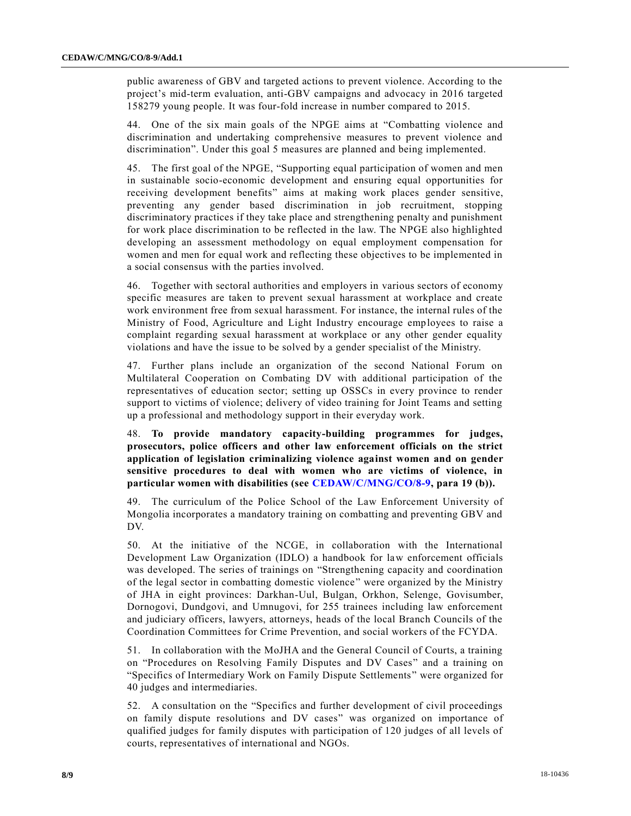public awareness of GBV and targeted actions to prevent violence. According to the project's mid-term evaluation, anti-GBV campaigns and advocacy in 2016 targeted 158279 young people. It was four-fold increase in number compared to 2015.

44. One of the six main goals of the NPGE aims at "Combatting violence and discrimination and undertaking comprehensive measures to prevent violence and discrimination". Under this goal 5 measures are planned and being implemented.

45. The first goal of the NPGE, "Supporting equal participation of women and men in sustainable socio-economic development and ensuring equal opportunities for receiving development benefits" aims at making work places gender sensitive, preventing any gender based discrimination in job recruitment, stopping discriminatory practices if they take place and strengthening penalty and punishment for work place discrimination to be reflected in the law. The NPGE also highlighted developing an assessment methodology on equal employment compensation for women and men for equal work and reflecting these objectives to be implemented in a social consensus with the parties involved.

46. Together with sectoral authorities and employers in various sectors of economy specific measures are taken to prevent sexual harassment at workplace and create work environment free from sexual harassment. For instance, the internal rules of the Ministry of Food, Agriculture and Light Industry encourage employees to raise a complaint regarding sexual harassment at workplace or any other gender equality violations and have the issue to be solved by a gender specialist of the Ministry.

47. Further plans include an organization of the second National Forum on Multilateral Cooperation on Combating DV with additional participation of the representatives of education sector; setting up OSSCs in every province to render support to victims of violence; delivery of video training for Joint Teams and setting up a professional and methodology support in their everyday work.

48. **To provide mandatory capacity-building programmes for judges, prosecutors, police officers and other law enforcement officials on the strict application of legislation criminalizing violence against women and on gender sensitive procedures to deal with women who are victims of violence, in particular women with disabilities (see [CEDAW/C/MNG/CO/8-9,](https://undocs.org/CEDAW/C/MNG/CO/8) para 19 (b)).**

49. The curriculum of the Police School of the Law Enforcement University of Mongolia incorporates a mandatory training on combatting and preventing GBV and DV.

50. At the initiative of the NCGE, in collaboration with the International Development Law Organization (IDLO) a handbook for law enforcement officials was developed. The series of trainings on "Strengthening capacity and coordination of the legal sector in combatting domestic violence" were organized by the Ministry of JHA in eight provinces: Darkhan-Uul, Bulgan, Orkhon, Selenge, Govisumber, Dornogovi, Dundgovi, and Umnugovi, for 255 trainees including law enforcement and judiciary officers, lawyers, attorneys, heads of the local Branch Councils of the Coordination Committees for Crime Prevention, and social workers of the FCYDA.

51. In collaboration with the MoJHA and the General Council of Courts, a training on "Procedures on Resolving Family Disputes and DV Cases" and a training on "Specifics of Intermediary Work on Family Dispute Settlements" were organized for 40 judges and intermediaries.

52. A consultation on the "Specifics and further development of civil proceedings on family dispute resolutions and DV cases" was organized on importance of qualified judges for family disputes with participation of 120 judges of all levels of courts, representatives of international and NGOs.